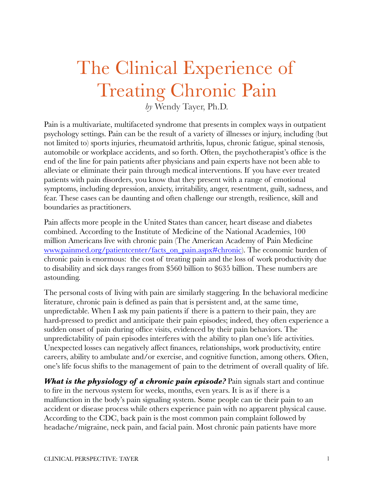# The Clinical Experience of Treating Chronic Pain

*by* Wendy Tayer, Ph.D.

Pain is a multivariate, multifaceted syndrome that presents in complex ways in outpatient psychology settings. Pain can be the result of a variety of illnesses or injury, including (but not limited to) sports injuries, rheumatoid arthritis, lupus, chronic fatigue, spinal stenosis, automobile or workplace accidents, and so forth. Often, the psychotherapist's office is the end of the line for pain patients after physicians and pain experts have not been able to alleviate or eliminate their pain through medical interventions. If you have ever treated patients with pain disorders, you know that they present with a range of emotional symptoms, including depression, anxiety, irritability, anger, resentment, guilt, sadness, and fear. These cases can be daunting and often challenge our strength, resilience, skill and boundaries as practitioners.

Pain affects more people in the United States than cancer, heart disease and diabetes combined. According to the Institute of Medicine of the National Academies, 100 million Americans live with chronic pain (The American Academy of Pain Medicine [www.painmed.org/patientcenter/facts\\_on\\_pain.aspx#chronic\)](http://www.painmed.org/patientcenter/facts_on_pain.aspx#chronic). The economic burden of chronic pain is enormous: the cost of treating pain and the loss of work productivity due to disability and sick days ranges from \$560 billion to \$635 billion. These numbers are astounding.

The personal costs of living with pain are similarly staggering. In the behavioral medicine literature, chronic pain is defined as pain that is persistent and, at the same time, unpredictable. When I ask my pain patients if there is a pattern to their pain, they are hard-pressed to predict and anticipate their pain episodes; indeed, they often experience a sudden onset of pain during office visits, evidenced by their pain behaviors. The unpredictability of pain episodes interferes with the ability to plan one's life activities. Unexpected losses can negatively affect finances, relationships, work productivity, entire careers, ability to ambulate and/or exercise, and cognitive function, among others. Often, one's life focus shifts to the management of pain to the detriment of overall quality of life.

*What is the physiology of a chronic pain episode?* **Pain signals start and continue** to fire in the nervous system for weeks, months, even years. It is as if there is a malfunction in the body's pain signaling system. Some people can tie their pain to an accident or disease process while others experience pain with no apparent physical cause. According to the CDC, back pain is the most common pain complaint followed by headache/migraine, neck pain, and facial pain. Most chronic pain patients have more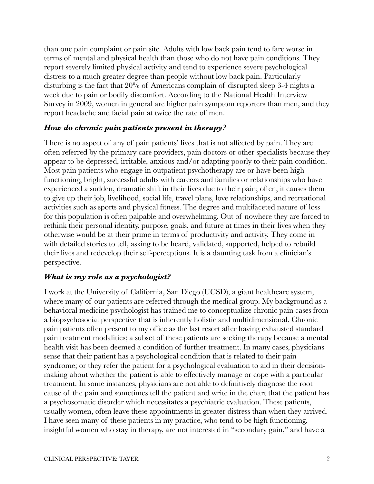than one pain complaint or pain site. Adults with low back pain tend to fare worse in terms of mental and physical health than those who do not have pain conditions. They report severely limited physical activity and tend to experience severe psychological distress to a much greater degree than people without low back pain. Particularly disturbing is the fact that 20% of Americans complain of disrupted sleep 3-4 nights a week due to pain or bodily discomfort. According to the National Health Interview Survey in 2009, women in general are higher pain symptom reporters than men, and they report headache and facial pain at twice the rate of men.

## *How do chronic pain patients present in therapy?*

There is no aspect of any of pain patients' lives that is not affected by pain. They are often referred by the primary care providers, pain doctors or other specialists because they appear to be depressed, irritable, anxious and/or adapting poorly to their pain condition. Most pain patients who engage in outpatient psychotherapy are or have been high functioning, bright, successful adults with careers and families or relationships who have experienced a sudden, dramatic shift in their lives due to their pain; often, it causes them to give up their job, livelihood, social life, travel plans, love relationships, and recreational activities such as sports and physical fitness. The degree and multifaceted nature of loss for this population is often palpable and overwhelming. Out of nowhere they are forced to rethink their personal identity, purpose, goals, and future at times in their lives when they otherwise would be at their prime in terms of productivity and activity. They come in with detailed stories to tell, asking to be heard, validated, supported, helped to rebuild their lives and redevelop their self-perceptions. It is a daunting task from a clinician's perspective.

## *What is my role as a psychologist?*

I work at the University of California, San Diego (UCSD), a giant healthcare system, where many of our patients are referred through the medical group. My background as a behavioral medicine psychologist has trained me to conceptualize chronic pain cases from a biopsychosocial perspective that is inherently holistic and multidimensional. Chronic pain patients often present to my office as the last resort after having exhausted standard pain treatment modalities; a subset of these patients are seeking therapy because a mental health visit has been deemed a condition of further treatment. In many cases, physicians sense that their patient has a psychological condition that is related to their pain syndrome; or they refer the patient for a psychological evaluation to aid in their decisionmaking about whether the patient is able to effectively manage or cope with a particular treatment. In some instances, physicians are not able to definitively diagnose the root cause of the pain and sometimes tell the patient and write in the chart that the patient has a psychosomatic disorder which necessitates a psychiatric evaluation. These patients, usually women, often leave these appointments in greater distress than when they arrived. I have seen many of these patients in my practice, who tend to be high functioning, insightful women who stay in therapy, are not interested in "secondary gain," and have a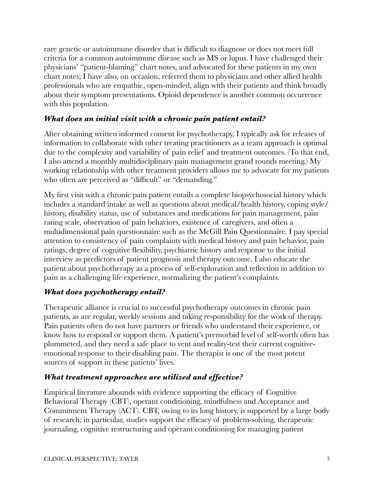rare genetic or autoimmune disorder that is difficult to diagnose or does not meet full criteria for a common autoimmune disease such as MS or lupus. I have challenged their physicians' "patient-blaming" chart notes, and advocated for these patients in my own chart notes; I have also, on occasion, referred them to physicians and other allied health professionals who are empathic, open-minded, align with their patients and think broadly about their symptom presentations. Opioid dependence is another common occurrence with this population.

## *What does an initial visit with a chronic pain patient entail?*

After obtaining written informed consent for psychotherapy, I typically ask for releases of information to collaborate with other treating practitioners as a team approach is optimal due to the complexity and variability of pain relief and treatment outcomes. (To that end, I also attend a monthly multidisciplinary pain management grand rounds meeting.) My working relationship with other treatment providers allows me to advocate for my patients who often are perceived as "difficult" or "demanding."

My first visit with a chronic pain patient entails a complete biopsychosocial history which includes a standard intake as well as questions about medical/health history, coping style/ history, disability status, use of substances and medications for pain management, pain rating scale, observation of pain behaviors, existence of caregivers, and often a multidimensional pain questionnaire such as the McGill Pain Questionnaire. I pay special attention to consistency of pain complaints with medical history and pain behavior, pain ratings, degree of cognitive flexibility, psychiatric history and response to the initial interview as predictors of patient prognosis and therapy outcome. I also educate the patient about psychotherapy as a process of self-exploration and reflection in addition to pain as a challenging life experience, normalizing the patient's complaints.

## *What does psychotherapy entail?*

Therapeutic alliance is crucial to successful psychotherapy outcomes in chronic pain patients, as are regular, weekly sessions and taking responsibility for the work of therapy. Pain patients often do not have partners or friends who understand their experience, or know how to respond or support them. A patient's premorbid level of self-worth often has plummeted, and they need a safe place to vent and reality-test their current cognitiveemotional response to their disabling pain. The therapist is one of the most potent sources of support in these patients' lives.

## *What treatment approaches are utilized and effective?*

Empirical literature abounds with evidence supporting the efficacy of Cognitive Behavioral Therapy (CBT), operant conditioning, mindfulness and Acceptance and Commitment Therapy (ACT). CBT, owing to its long history, is supported by a large body of research; in particular, studies support the efficacy of problem-solving, therapeutic journaling, cognitive restructuring and operant conditioning for managing patient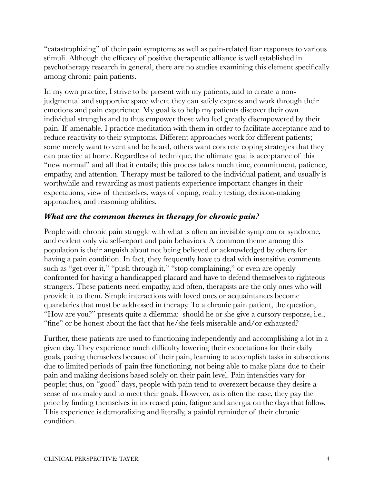"catastrophizing" of their pain symptoms as well as pain-related fear responses to various stimuli. Although the efficacy of positive therapeutic alliance is well established in psychotherapy research in general, there are no studies examining this element specifically among chronic pain patients.

In my own practice, I strive to be present with my patients, and to create a nonjudgmental and supportive space where they can safely express and work through their emotions and pain experience. My goal is to help my patients discover their own individual strengths and to thus empower those who feel greatly disempowered by their pain. If amenable, I practice meditation with them in order to facilitate acceptance and to reduce reactivity to their symptoms. Different approaches work for different patients; some merely want to vent and be heard, others want concrete coping strategies that they can practice at home. Regardless of technique, the ultimate goal is acceptance of this "new normal" and all that it entails; this process takes much time, commitment, patience, empathy, and attention. Therapy must be tailored to the individual patient, and usually is worthwhile and rewarding as most patients experience important changes in their expectations, view of themselves, ways of coping, reality testing, decision-making approaches, and reasoning abilities.

## *What are the common themes in therapy for chronic pain?*

People with chronic pain struggle with what is often an invisible symptom or syndrome, and evident only via self-report and pain behaviors. A common theme among this population is their anguish about not being believed or acknowledged by others for having a pain condition. In fact, they frequently have to deal with insensitive comments such as "get over it," "push through it," "stop complaining," or even are openly confronted for having a handicapped placard and have to defend themselves to righteous strangers. These patients need empathy, and often, therapists are the only ones who will provide it to them. Simple interactions with loved ones or acquaintances become quandaries that must be addressed in therapy. To a chronic pain patient, the question, "How are you?" presents quite a dilemma: should he or she give a cursory response, i.e., "fine" or be honest about the fact that he/she feels miserable and/or exhausted?

Further, these patients are used to functioning independently and accomplishing a lot in a given day. They experience much difficulty lowering their expectations for their daily goals, pacing themselves because of their pain, learning to accomplish tasks in subsections due to limited periods of pain free functioning, not being able to make plans due to their pain and making decisions based solely on their pain level. Pain intensities vary for people; thus, on "good" days, people with pain tend to overexert because they desire a sense of normalcy and to meet their goals. However, as is often the case, they pay the price by finding themselves in increased pain, fatigue and anergia on the days that follow. This experience is demoralizing and literally, a painful reminder of their chronic condition.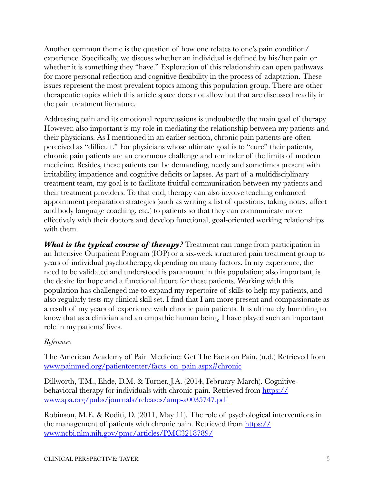Another common theme is the question of how one relates to one's pain condition/ experience. Specifically, we discuss whether an individual is defined by his/her pain or whether it is something they "have." Exploration of this relationship can open pathways for more personal reflection and cognitive flexibility in the process of adaptation. These issues represent the most prevalent topics among this population group. There are other therapeutic topics which this article space does not allow but that are discussed readily in the pain treatment literature.

Addressing pain and its emotional repercussions is undoubtedly the main goal of therapy. However, also important is my role in mediating the relationship between my patients and their physicians. As I mentioned in an earlier section, chronic pain patients are often perceived as "difficult." For physicians whose ultimate goal is to "cure" their patients, chronic pain patients are an enormous challenge and reminder of the limits of modern medicine. Besides, these patients can be demanding, needy and sometimes present with irritability, impatience and cognitive deficits or lapses. As part of a multidisciplinary treatment team, my goal is to facilitate fruitful communication between my patients and their treatment providers. To that end, therapy can also involve teaching enhanced appointment preparation strategies (such as writing a list of questions, taking notes, affect and body language coaching, etc.) to patients so that they can communicate more effectively with their doctors and develop functional, goal-oriented working relationships with them.

*What is the typical course of therapy?* Treatment can range from participation in an Intensive Outpatient Program (IOP) or a six-week structured pain treatment group to years of individual psychotherapy, depending on many factors. In my experience, the need to be validated and understood is paramount in this population; also important, is the desire for hope and a functional future for these patients. Working with this population has challenged me to expand my repertoire of skills to help my patients, and also regularly tests my clinical skill set. I find that I am more present and compassionate as a result of my years of experience with chronic pain patients. It is ultimately humbling to know that as a clinician and an empathic human being, I have played such an important role in my patients' lives.

## *References*

The American Academy of Pain Medicine: Get The Facts on Pain. (n.d.) Retrieved from [www.painmed.org/patientcenter/facts\\_on\\_pain.aspx#chronic](http://www.painmed.org/patientcenter/facts_on_pain.aspx#chronic)

Dillworth, T.M., Ehde, D.M. & Turner, J.A. (2014, February-March). Cognitivebehavioral therapy for individuals with chronic pain. Retrieved from [https://](https://www.apa.org/pubs/journals/releases/amp-a0035747.pdf) [www.apa.org/pubs/journals/releases/amp-a0035747.pdf](https://www.apa.org/pubs/journals/releases/amp-a0035747.pdf)

Robinson, M.E. & Roditi, D. (2011, May 11). The role of psychological interventions in the management of patients with chronic pain. Retrieved from [https://](https://www.ncbi.nlm.nih.gov/pmc/articles/PMC3218789/) [www.ncbi.nlm.nih.gov/pmc/articles/PMC3218789/](https://www.ncbi.nlm.nih.gov/pmc/articles/PMC3218789/)